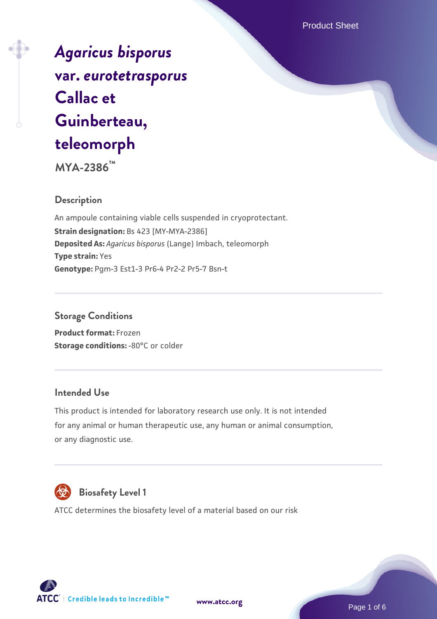Product Sheet

*[Agaricus bisporus](https://www.atcc.org/products/mya-2386)* **[var.](https://www.atcc.org/products/mya-2386)** *[eurotetrasporus](https://www.atcc.org/products/mya-2386)* **[Callac et](https://www.atcc.org/products/mya-2386) [Guinberteau,](https://www.atcc.org/products/mya-2386) [teleomorph](https://www.atcc.org/products/mya-2386)**

**MYA-2386™**

### **Description**

An ampoule containing viable cells suspended in cryoprotectant. **Strain designation:** Bs 423 [MY-MYA-2386] **Deposited As:** *Agaricus bisporus* (Lange) Imbach, teleomorph **Type strain:** Yes **Genotype:** Pgm-3 Est1-3 Pr6-4 Pr2-2 Pr5-7 Bsn-t

#### **Storage Conditions**

**Product format:** Frozen **Storage conditions: -80°C or colder** 

#### **Intended Use**

This product is intended for laboratory research use only. It is not intended for any animal or human therapeutic use, any human or animal consumption, or any diagnostic use.



## **Biosafety Level 1**

ATCC determines the biosafety level of a material based on our risk



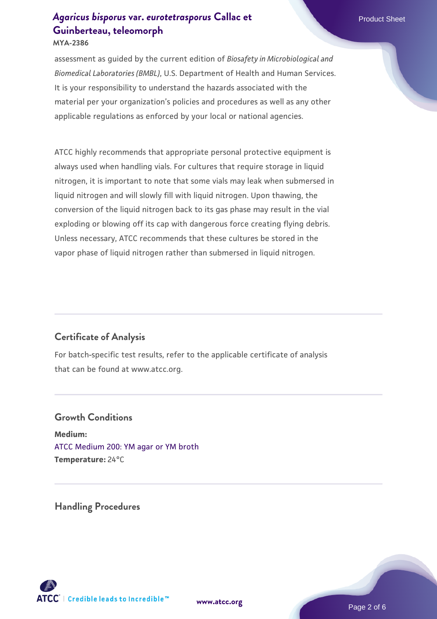# *[Agaricus bisporus](https://www.atcc.org/products/mya-2386)* **[var.](https://www.atcc.org/products/mya-2386)** *[eurotetrasporus](https://www.atcc.org/products/mya-2386)* **[Callac et](https://www.atcc.org/products/mya-2386) Product Sheet [Guinberteau, teleomorph](https://www.atcc.org/products/mya-2386)**

**MYA-2386**

assessment as guided by the current edition of *Biosafety in Microbiological and Biomedical Laboratories (BMBL)*, U.S. Department of Health and Human Services. It is your responsibility to understand the hazards associated with the material per your organization's policies and procedures as well as any other applicable regulations as enforced by your local or national agencies.

ATCC highly recommends that appropriate personal protective equipment is always used when handling vials. For cultures that require storage in liquid nitrogen, it is important to note that some vials may leak when submersed in liquid nitrogen and will slowly fill with liquid nitrogen. Upon thawing, the conversion of the liquid nitrogen back to its gas phase may result in the vial exploding or blowing off its cap with dangerous force creating flying debris. Unless necessary, ATCC recommends that these cultures be stored in the vapor phase of liquid nitrogen rather than submersed in liquid nitrogen.

#### **Certificate of Analysis**

For batch-specific test results, refer to the applicable certificate of analysis that can be found at www.atcc.org.

#### **Growth Conditions**

**Medium:**  [ATCC Medium 200: YM agar or YM broth](https://www.atcc.org/-/media/product-assets/documents/microbial-media-formulations/2/0/0/atcc-medium-200.pdf?rev=ac40fd74dc13433a809367b0b9da30fc) **Temperature:** 24°C

**Handling Procedures**



**[www.atcc.org](http://www.atcc.org)**

Page 2 of 6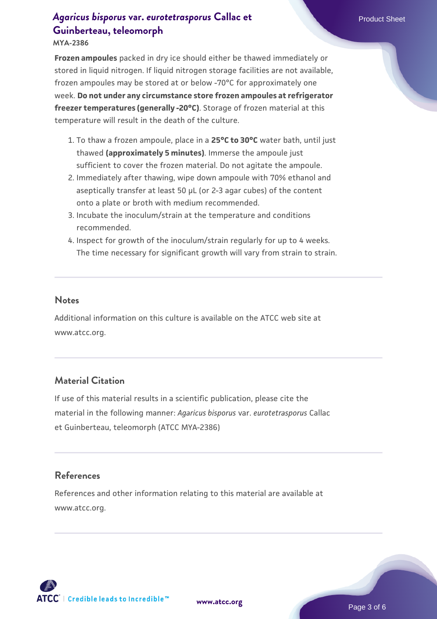# *[Agaricus bisporus](https://www.atcc.org/products/mya-2386)* **[var.](https://www.atcc.org/products/mya-2386)** *[eurotetrasporus](https://www.atcc.org/products/mya-2386)* **[Callac et](https://www.atcc.org/products/mya-2386) Product Sheet Product Sheet Product Sheet Product Sheet [Guinberteau, teleomorph](https://www.atcc.org/products/mya-2386)**

**MYA-2386**

**Frozen ampoules** packed in dry ice should either be thawed immediately or stored in liquid nitrogen. If liquid nitrogen storage facilities are not available, frozen ampoules may be stored at or below -70°C for approximately one week. **Do not under any circumstance store frozen ampoules at refrigerator freezer temperatures (generally -20°C)**. Storage of frozen material at this temperature will result in the death of the culture.

- 1. To thaw a frozen ampoule, place in a **25°C to 30°C** water bath, until just thawed **(approximately 5 minutes)**. Immerse the ampoule just sufficient to cover the frozen material. Do not agitate the ampoule.
- 2. Immediately after thawing, wipe down ampoule with 70% ethanol and aseptically transfer at least 50 µL (or 2-3 agar cubes) of the content onto a plate or broth with medium recommended.
- Incubate the inoculum/strain at the temperature and conditions 3. recommended.
- 4. Inspect for growth of the inoculum/strain regularly for up to 4 weeks. The time necessary for significant growth will vary from strain to strain.

#### **Notes**

Additional information on this culture is available on the ATCC web site at www.atcc.org.

### **Material Citation**

If use of this material results in a scientific publication, please cite the material in the following manner: *Agaricus bisporus* var. *eurotetrasporus* Callac et Guinberteau, teleomorph (ATCC MYA-2386)

#### **References**

References and other information relating to this material are available at www.atcc.org.





Page 3 of 6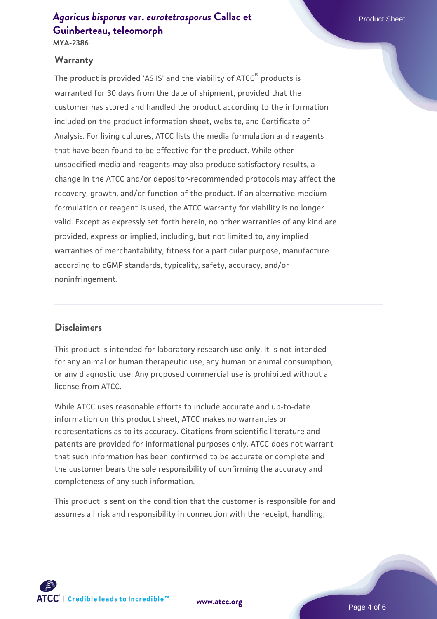## *[Agaricus bisporus](https://www.atcc.org/products/mya-2386)* **[var.](https://www.atcc.org/products/mya-2386)** *[eurotetrasporus](https://www.atcc.org/products/mya-2386)* **[Callac et](https://www.atcc.org/products/mya-2386) Product Sheet Product Sheet Product Sheet Product Sheet [Guinberteau, teleomorph](https://www.atcc.org/products/mya-2386)**

**MYA-2386**

#### **Warranty**

The product is provided 'AS IS' and the viability of ATCC<sup>®</sup> products is warranted for 30 days from the date of shipment, provided that the customer has stored and handled the product according to the information included on the product information sheet, website, and Certificate of Analysis. For living cultures, ATCC lists the media formulation and reagents that have been found to be effective for the product. While other unspecified media and reagents may also produce satisfactory results, a change in the ATCC and/or depositor-recommended protocols may affect the recovery, growth, and/or function of the product. If an alternative medium formulation or reagent is used, the ATCC warranty for viability is no longer valid. Except as expressly set forth herein, no other warranties of any kind are provided, express or implied, including, but not limited to, any implied warranties of merchantability, fitness for a particular purpose, manufacture according to cGMP standards, typicality, safety, accuracy, and/or noninfringement.

#### **Disclaimers**

This product is intended for laboratory research use only. It is not intended for any animal or human therapeutic use, any human or animal consumption, or any diagnostic use. Any proposed commercial use is prohibited without a license from ATCC.

While ATCC uses reasonable efforts to include accurate and up-to-date information on this product sheet, ATCC makes no warranties or representations as to its accuracy. Citations from scientific literature and patents are provided for informational purposes only. ATCC does not warrant that such information has been confirmed to be accurate or complete and the customer bears the sole responsibility of confirming the accuracy and completeness of any such information.

This product is sent on the condition that the customer is responsible for and assumes all risk and responsibility in connection with the receipt, handling,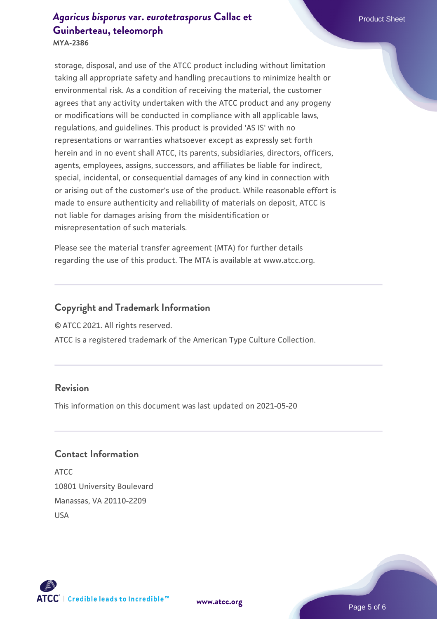## *[Agaricus bisporus](https://www.atcc.org/products/mya-2386)* **[var.](https://www.atcc.org/products/mya-2386)** *[eurotetrasporus](https://www.atcc.org/products/mya-2386)* **[Callac et](https://www.atcc.org/products/mya-2386) Product Sheet Product Sheet Product Sheet Product Sheet [Guinberteau, teleomorph](https://www.atcc.org/products/mya-2386)**

**MYA-2386**

storage, disposal, and use of the ATCC product including without limitation taking all appropriate safety and handling precautions to minimize health or environmental risk. As a condition of receiving the material, the customer agrees that any activity undertaken with the ATCC product and any progeny or modifications will be conducted in compliance with all applicable laws, regulations, and guidelines. This product is provided 'AS IS' with no representations or warranties whatsoever except as expressly set forth herein and in no event shall ATCC, its parents, subsidiaries, directors, officers, agents, employees, assigns, successors, and affiliates be liable for indirect, special, incidental, or consequential damages of any kind in connection with or arising out of the customer's use of the product. While reasonable effort is made to ensure authenticity and reliability of materials on deposit, ATCC is not liable for damages arising from the misidentification or misrepresentation of such materials.

Please see the material transfer agreement (MTA) for further details regarding the use of this product. The MTA is available at www.atcc.org.

#### **Copyright and Trademark Information**

© ATCC 2021. All rights reserved.

ATCC is a registered trademark of the American Type Culture Collection.

#### **Revision**

This information on this document was last updated on 2021-05-20

### **Contact Information**

ATCC 10801 University Boulevard Manassas, VA 20110-2209 USA